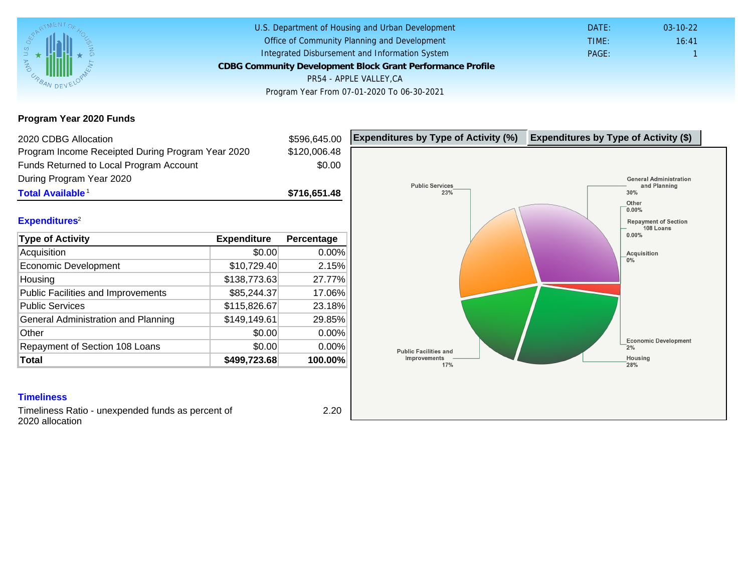# Program Year 2020 Funds

| 2020 CDBG Allocation                              |              | \$596,645.00 | Expenditures by Type of Activity (%) | Expenditure |
|---------------------------------------------------|--------------|--------------|--------------------------------------|-------------|
| Program Income Receipted During Program Year 2020 |              | \$120,006.48 |                                      |             |
| Funds Returned to Local Program Account           |              | \$0.00       |                                      |             |
| During Program Year 2020                          |              |              |                                      |             |
| Total Available                                   |              | \$716,651.48 |                                      |             |
| Expenditures <sup>2</sup>                         |              |              |                                      |             |
| Type of Activity                                  | Expenditure  | Percentage   |                                      |             |
| Acquisition                                       | \$0.00       | 0.00%        |                                      |             |
| Economic Development                              | \$10,729.40  | 2.15%        |                                      |             |
| Housing                                           | \$138,773.63 | 27.77%       |                                      |             |
| <b>Public Facilities and Improvements</b>         | \$85,244.37  | 17.06%       |                                      |             |
| <b>Public Services</b>                            | \$115,826.67 | 23.18%       |                                      |             |
| General Administration and Planning               | \$149,149.61 | 29.85%       |                                      |             |
| Other                                             | \$0.00       | 0.00%        |                                      |             |
| Repayment of Section 108 Loans                    | \$0.00       | 0.00%        |                                      |             |
| Total                                             | \$499,723.68 | 100.00%      |                                      |             |

#### **Timeliness**

Timeliness Ratio - unexpended funds as percent of 2020 allocation

2.20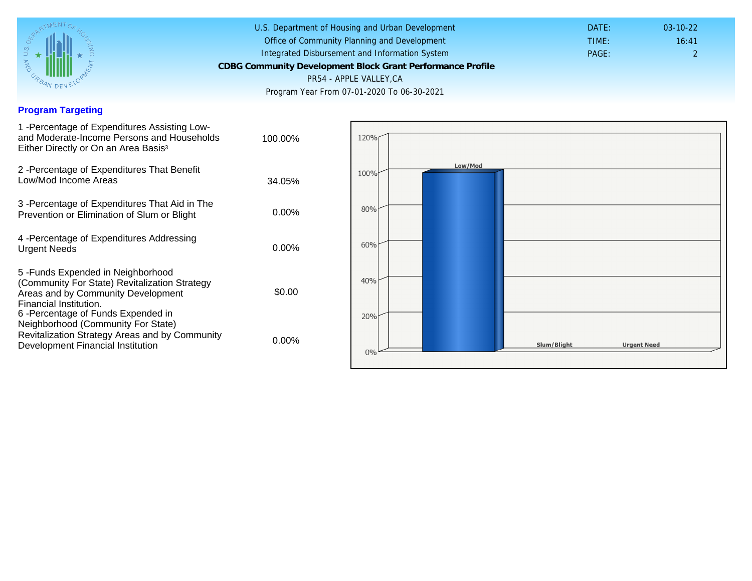## Program Targeting

| 1 - Percentage of Expenditures Assisting Low-<br>and Moderate-Income Persons and Households<br>Either Directly or On an Area Basis <sup>3</sup>                                                                              | 100.00%  |
|------------------------------------------------------------------------------------------------------------------------------------------------------------------------------------------------------------------------------|----------|
| 2 - Percentage of Expenditures That Benefit<br>Low/Mod Income Areas                                                                                                                                                          | 34.05%   |
| 3 - Percentage of Expenditures That Aid in The<br>Prevention or Elimination of Slum or Blight                                                                                                                                | $0.00\%$ |
| 4 - Percentage of Expenditures Addressing<br><b>Urgent Needs</b>                                                                                                                                                             | $0.00\%$ |
| 5-Funds Expended in Neighborhood<br>(Community For State) Revitalization Strategy<br>Areas and by Community Development<br>Financial Institution.<br>6-Percentage of Funds Expended in<br>Neighborhood (Community For State) | \$0.00   |
| Revitalization Strategy Areas and by Community<br>Development Financial Institution                                                                                                                                          | $0.00\%$ |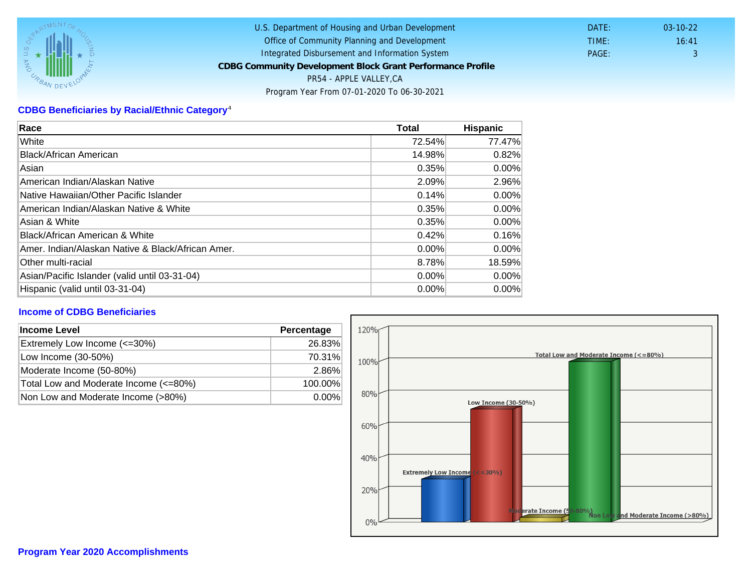# CDBG Beneficiaries by Racial/Ethnic Category <sup>4</sup>

| Race                                              | Total    | Hispanic |
|---------------------------------------------------|----------|----------|
| White                                             | 72.54%   | 77.47%   |
| Black/African American                            | 14.98%   | 0.82%    |
| Asian                                             | 0.35%    | $0.00\%$ |
| IAmerican Indian/Alaskan Native                   | 2.09%    | 2.96%    |
| lNative Hawaiian/Other Pacific Islander           | 0.14%    | $0.00\%$ |
| American Indian/Alaskan Native & White            | 0.35%    | $0.00\%$ |
| Asian & White                                     | 0.35%    | $0.00\%$ |
| Black/African American & White                    | 0.42%    | 0.16%    |
| Amer. Indian/Alaskan Native & Black/African Amer. | $0.00\%$ | $0.00\%$ |
| Other multi-racial                                | 8.78%    | 18.59%   |
| Asian/Pacific Islander (valid until 03-31-04)     | 0.00%    | 0.00%    |
| Hispanic (valid until 03-31-04)                   | $0.00\%$ | $0.00\%$ |

### Income of CDBG Beneficiaries

| Income Level                          | Percentage |
|---------------------------------------|------------|
| Extremely Low Income (<=30%)          | 26.83%     |
| Low Income (30-50%)                   | 70.31%     |
| Moderate Income (50-80%)              | 2.86%      |
| Total Low and Moderate Income (<=80%) | 100.00%    |
| Non Low and Moderate Income (>80%)    | $0.00\%$   |